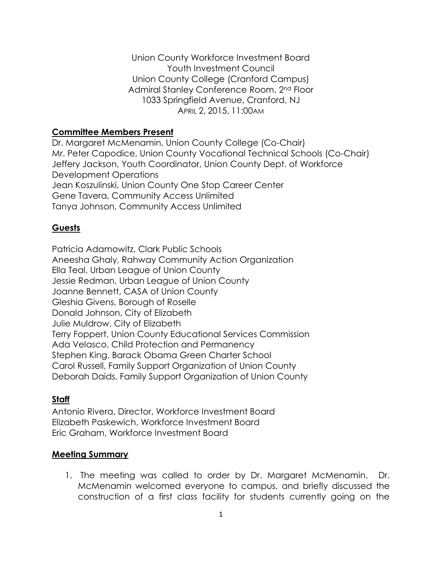Union County Workforce Investment Board Youth Investment Council Union County College (Cranford Campus) Admiral Stanley Conference Room, 2nd Floor 1033 Springfield Avenue, Cranford, NJ APRIL 2, 2015, 11:00AM

## **Committee Members Present**

Dr. Margaret McMenamin, Union County College (Co-Chair) Mr. Peter Capodice, Union County Vocational Technical Schools (Co-Chair) Jeffery Jackson, Youth Coordinator, Union County Dept. of Workforce Development Operations Jean Koszulinski, Union County One Stop Career Center Gene Tavera, Community Access Unlimited Tanya Johnson, Community Access Unlimited

## **Guests**

Patricia Adamowitz, Clark Public Schools Aneesha Ghaly, Rahway Community Action Organization Ella Teal, Urban League of Union County Jessie Redman, Urban League of Union County Joanne Bennett, CASA of Union County Gleshia Givens, Borough of Roselle Donald Johnson, City of Elizabeth Julie Muldrow, City of Elizabeth Terry Foppert, Union County Educational Services Commission Ada Velasco, Child Protection and Permanency Stephen King, Barack Obama Green Charter School Carol Russell, Family Support Organization of Union County Deborah Daids, Family Support Organization of Union County

## **Staff**

Antonio Rivera, Director, Workforce Investment Board Elizabeth Paskewich, Workforce Investment Board Eric Graham, Workforce Investment Board

## **Meeting Summary**

1. The meeting was called to order by Dr. Margaret McMenamin. Dr. McMenamin welcomed everyone to campus, and briefly discussed the construction of a first class facility for students currently going on the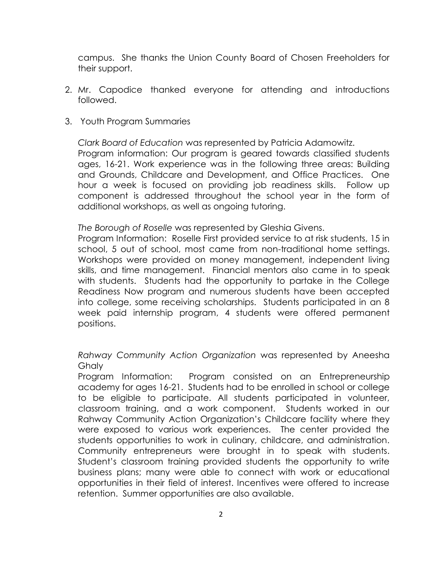campus. She thanks the Union County Board of Chosen Freeholders for their support.

- 2. Mr. Capodice thanked everyone for attending and introductions followed.
- 3. Youth Program Summaries

*Clark Board of Education* was represented by Patricia Adamowitz.

Program information: Our program is geared towards classified students ages, 16-21. Work experience was in the following three areas: Building and Grounds, Childcare and Development, and Office Practices. One hour a week is focused on providing job readiness skills. Follow up component is addressed throughout the school year in the form of additional workshops, as well as ongoing tutoring.

*The Borough of Roselle* was represented by Gleshia Givens.

Program Information: Roselle First provided service to at risk students, 15 in school, 5 out of school, most came from non-traditional home settings. Workshops were provided on money management, independent living skills, and time management. Financial mentors also came in to speak with students. Students had the opportunity to partake in the College Readiness Now program and numerous students have been accepted into college, some receiving scholarships. Students participated in an 8 week paid internship program, 4 students were offered permanent positions.

*Rahway Community Action Organization* was represented by Aneesha **Ghaly** 

Program Information: Program consisted on an Entrepreneurship academy for ages 16-21. Students had to be enrolled in school or college to be eligible to participate. All students participated in volunteer, classroom training, and a work component. Students worked in our Rahway Community Action Organization's Childcare facility where they were exposed to various work experiences. The center provided the students opportunities to work in culinary, childcare, and administration. Community entrepreneurs were brought in to speak with students. Student's classroom training provided students the opportunity to write business plans; many were able to connect with work or educational opportunities in their field of interest. Incentives were offered to increase retention. Summer opportunities are also available.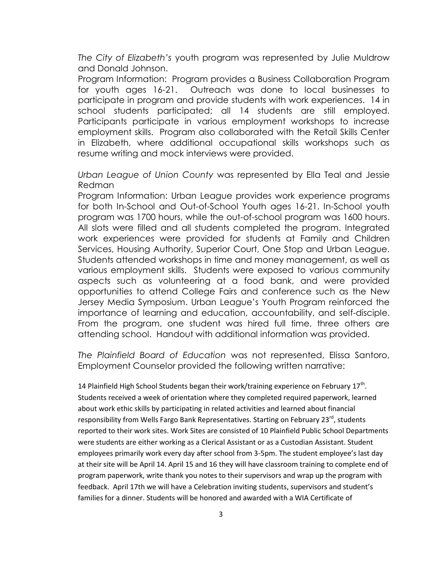*The City of Elizabeth's* youth program was represented by Julie Muldrow and Donald Johnson.

Program Information: Program provides a Business Collaboration Program for youth ages 16-21. Outreach was done to local businesses to participate in program and provide students with work experiences. 14 in school students participated; all 14 students are still employed. Participants participate in various employment workshops to increase employment skills. Program also collaborated with the Retail Skills Center in Elizabeth, where additional occupational skills workshops such as resume writing and mock interviews were provided.

*Urban League of Union County* was represented by Ella Teal and Jessie Redman

Program Information: Urban League provides work experience programs for both In-School and Out-of-School Youth ages 16-21. In-School youth program was 1700 hours, while the out-of-school program was 1600 hours. All slots were filled and all students completed the program. Integrated work experiences were provided for students at Family and Children Services, Housing Authority, Superior Court, One Stop and Urban League. Students attended workshops in time and money management, as well as various employment skills. Students were exposed to various community aspects such as volunteering at a food bank, and were provided opportunities to attend College Fairs and conference such as the New Jersey Media Symposium. Urban League's Youth Program reinforced the importance of learning and education, accountability, and self-disciple. From the program, one student was hired full time, three others are attending school. Handout with additional information was provided.

*The Plainfield Board of Education* was not represented, Elissa Santoro, Employment Counselor provided the following written narrative:

14 Plainfield High School Students began their work/training experience on February 17<sup>th</sup>. Students received a week of orientation where they completed required paperwork, learned about work ethic skills by participating in related activities and learned about financial responsibility from Wells Fargo Bank Representatives. Starting on February 23<sup>rd</sup>, students reported to their work sites. Work Sites are consisted of 10 Plainfield Public School Departments were students are either working as a Clerical Assistant or as a Custodian Assistant. Student employees primarily work every day after school from 3-5pm. The student employee's last day at their site will be April 14. April 15 and 16 they will have classroom training to complete end of program paperwork, write thank you notes to their supervisors and wrap up the program with feedback. April 17th we will have a Celebration inviting students, supervisors and student's families for a dinner. Students will be honored and awarded with a WIA Certificate of